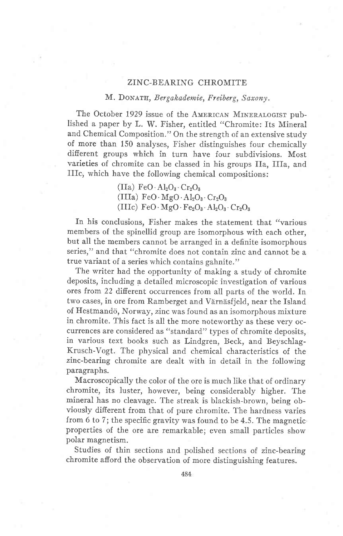## ZINC-BEARING CHROMITE

## M. DONATH, Bergakademie, Freiberg, Saxony.

The October 1929 issue of the AMERICAN MINERALOGIST published a paper by L. W. Fisher, entitled "Chromite: fts Mineral and Chemical Composition." On the strength of an extensive study of more than 150 analyses, Fisher distinguishes four chemically different groups which in turn have four subdivisions. Most varieties of chromite can be classed in his groups fla, IIfa, and IIIc; which have the following chemical compositions:

> $(IIa) FeO \cdot Al_2O_3 \cdot Cr_2O_3$ (IIIa)  $FeO \cdot MgO \cdot Al_2O_3 \cdot Cr_2O_3$ (IIIc)  $FeO \cdot MgO \cdot Fe_2O_3 \cdot Al_2O_3 \cdot Cr_2O_3$

In his conclusions, Fisher makes the statement that "various members of the spinellid group are isomorphous with each other, but all the members cannot be arranged in a definite isomorphous series," and that "chromite does not contain zinc and cannot be a true variant of a series which contains gahnite."

The writer had the opportunity of making a study of chromite deposits, including a detailed microscopic investigation of various ores from 22 different occurrences from all parts of the world. In two cases, in ore from Ramberget and Värnäsfjeld, near the Island of Hestmandö, Norway, zinc was found as an isomorphous mixture in chromite. This fact is all the more noteworthy as these very occurrences are considered as "standard" types of chromite deposits, in various text books such as Lindgren, Beck, and Beyschlag-Krusch-Vogt. The physical and chemical characteristics of the zinc-bearing chromite are dealt with in detail in the following paragraphs.

Macroscopically the color of the ore is much like that of ordinary chromite, its luster, however, being considerably higher. The mineral has no cleavage. The streak is blackish-brown, being obviously different from that of pure chromite. The hardness varies from 6 to 7; the specific gravity was found to be 4.5. The magnetic properties of the ore are remarkable; even small particles show polar magnetism.

Studies of thin sections and polished sections of zinc-bearing chromite afford the observation of more distinguishing features.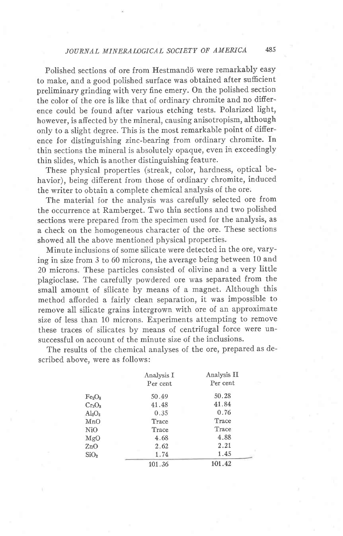## JOURNAL MINERALOGICAL SOCIETY OF AMERICA 485

Polished sections of ore from Hestmandö were remarkably easy to make, and a good polished surface was obtained after suficient preliminary grinding with very fine emery. On the polished section the color of the ore is like that of ordinary chromite and no difference could be found after various etching tests. Polarized light, however, is affected by the mineral, causing anisotropism, althougb only to a slight degree. This is the most remarkable point of difierence for distinguishing zinc-bearing from ordinary chromite. In thin sections the mineral is absolutely opaque, even in exceedingly thin slides, which is another distinguishing feature.

These physical properties (streak, color, hardness, optical behavior), being different from those of ordinary chromite, induced the writer to obtain a complete chemical analysis of the ore.

The material for the analysis was carefully selected ore from the occurrence at Ramberget. Two thin sections and two polishec sections were prepared from the specimen used for the analysis, as a check on the homogeneous character of the ore. These sections showed all the above mentioned physical properties.

Minute inclusions of some silicate were detected in the ore, varying in size from 3 to 60 microns, the average being between 10 and 20 microns. These particles consisted of olivine and a very little plagioclase. The carefully powdered ore was separated from the small amount of silicate by means of a magnet. Although this method afiorded a fairly clean separation, it was impossible to remove all silicate grains intergrown with ore of an approximate size of less than 10 microns. Experiments attempting to remove these traces of silicates by means of centrifugal force were unsuccessful on account of the minute size df the inclusions.

The results of the chemical analyses of the ore, prepared as described above, were as follows:

|                                | Analysis I<br>Per cent | Analysis II<br>Per cent |
|--------------------------------|------------------------|-------------------------|
| Fe <sub>2</sub> O <sub>a</sub> | 50.49                  | 50.28                   |
| $Cr_2O_3$                      | 41.48                  | 41.84                   |
| $Al_2O_3$                      | 0.35                   | 0.76                    |
| MnO                            | Trace                  | Trace                   |
| Ni0                            | Trace                  | Trace                   |
| MgO                            | 4.68                   | 4.88                    |
| 2nO                            | 2.62                   | 2.21                    |
| SiO <sub>2</sub>               | 1.74                   | 1.45                    |
|                                | 101.36                 | 101.42                  |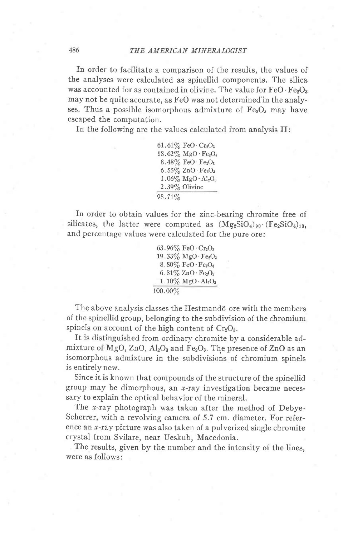In order to facilitate a comparison of the results, the values of the analyses were calculated as spinellid components. The silica was accounted for as contained in olivine. The value for  $FeO \cdot Fe_2O_3$ may not be quite accurate, as FeO was not determined'in the analyses. Thus a possible isomorphous admixture of  $Fe<sub>2</sub>O<sub>3</sub>$  may have escaped the computation.

In the following are the values calculated from analysis If:

 $61.61\%$  FeO $\cdot$  Cr<sub>2</sub>O<sub>3</sub>  $18.62\%$  MgO  $\cdot$  Fe<sub>2</sub>O<sub>3</sub>  $8.48\%$  FeO $\cdot$ Fe<sub>2</sub>O<sub>3</sub> 6.55/6 ZnO.FezOa  $1.06\%$  MgO·Al<sub>2</sub>O<sub>3</sub> 2.39/6 Olivine 98.71%

In order to obtain values for the zinc-bearing chromite free of silicates, the latter were computed as  $(Mg_2SiO_4)_{90}$ . (Fe<sub>2</sub>SiO<sub>4</sub>)<sub>10</sub>, and percentage values were calculated for the pure ore:

63.96 $\%$  FeO $\cdot$ Cr<sub>2</sub>O<sub>3</sub>  $19.33\%$  MgO $\cdot$ Fe<sub>2</sub>O<sub>3</sub>  $8.80\%$  FeO  $\cdot$  Fe<sub>2</sub>O<sub>3</sub>  $6.81\%$  ZnO  $\cdot$  Fe<sub>2</sub>O<sub>3</sub>  $1.10\%$  MgO $\cdot$ Al<sub>2</sub>O<sub>3</sub> t00.00%

The above analysis classes the Hestmando ore with the members of the spinellid group, belonging to the subdivision of the chromium spinels on account of the high content of  $Cr_2O_3$ .

It is distinguished from ordinary chromite by a considerable admixture of MgO,  $ZnO$ ,  $Al_2O_3$  and Fe<sub>2</sub>O<sub>3</sub>. The presence of  $ZnO$  as an isomorphous admixture in the subdivisions of chromium spinels is entirely new.

Since it is known that compounds of the structure of the spinellid group may be dimorphous, an  $x$ -ray investigation became necessary to explain the optical behavior of the mineral.

The  $x$ -ray photograph was taken after the method of Debye-Scherrer, with a revolving camera of 5.7 cm. diameter. For reference an  $x$ -ray picture was also taken of a pulverized single chromite crystal from Svilare, near Ueskub, Macedonia.

The results, given by the number and the intensity of the lines, were as follows: